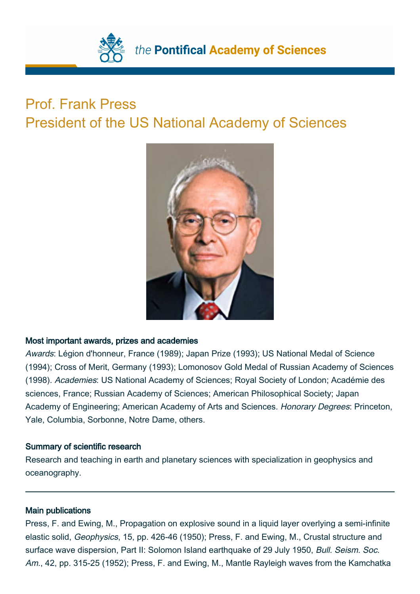

## Prof. Frank Press President of the US National Academy of Sciences



## Most important awards, prizes and academies

Awards: Légion d'honneur, France (1989); Japan Prize (1993); US National Medal of Science (1994); Cross of Merit, Germany (1993); Lomonosov Gold Medal of Russian Academy of Sciences (1998). Academies: US National Academy of Sciences; Royal Society of London; Académie des sciences, France; Russian Academy of Sciences; American Philosophical Society; Japan Academy of Engineering; American Academy of Arts and Sciences. Honorary Degrees: Princeton, Yale, Columbia, Sorbonne, Notre Dame, others.

## Summary of scientific research

Research and teaching in earth and planetary sciences with specialization in geophysics and oceanography.

## Main publications

Press, F. and Ewing, M., Propagation on explosive sound in a liquid layer overlying a semi-infinite elastic solid, Geophysics, 15, pp. 426-46 (1950); Press, F. and Ewing, M., Crustal structure and surface wave dispersion, Part II: Solomon Island earthquake of 29 July 1950, Bull. Seism. Soc. Am., 42, pp. 315-25 (1952); Press, F. and Ewing, M., Mantle Rayleigh waves from the Kamchatka